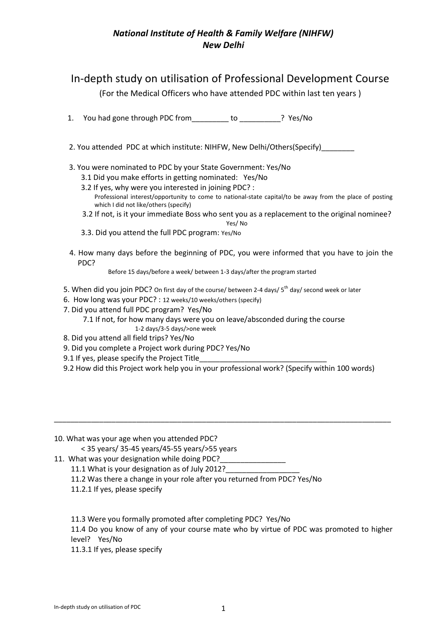## *National Institute of Health & Family Welfare (NIHFW) New Delhi*

## In-depth study on utilisation of Professional Development Course

(For the Medical Officers who have attended PDC within last ten years )

1. You had gone through PDC from\_\_\_\_\_\_\_\_\_ to \_\_\_\_\_\_\_\_\_\_? Yes/No

2. You attended PDC at which institute: NIHFW, New Delhi/Others(Specify)

- 3. You were nominated to PDC by your State Government: Yes/No
	- 3.1 Did you make efforts in getting nominated: Yes/No
	- 3.2 If yes, why were you interested in joining PDC? : Professional interest/opportunity to come to national-state capital/to be away from the place of posting which I did not like/others (specify)
	- 3.2 If not, is it your immediate Boss who sent you as a replacement to the original nominee?
	- Yes/ No 3.3. Did you attend the full PDC program: Yes/No
- 4. How many days before the beginning of PDC, you were informed that you have to join the PDC?

Before 15 days/before a week/ between 1-3 days/after the program started

- 5. When did you join PDC? On first day of the course/ between 2-4 days/ 5<sup>th</sup> day/ second week or later
- 6. How long was your PDC? : 12 weeks/10 weeks/others (specify)
- 7. Did you attend full PDC program? Yes/No

 7.1 If not, for how many days were you on leave/absconded during the course 1-2 days/3-5 days/>one week

- 8. Did you attend all field trips? Yes/No
- 9. Did you complete a Project work during PDC? Yes/No
- 9.1 If yes, please specify the Project Title
- 9.2 How did this Project work help you in your professional work? (Specify within 100 words)

\_\_\_\_\_\_\_\_\_\_\_\_\_\_\_\_\_\_\_\_\_\_\_\_\_\_\_\_\_\_\_\_\_\_\_\_\_\_\_\_\_\_\_\_\_\_\_\_\_\_\_\_\_\_\_\_\_\_\_\_\_\_\_\_\_\_\_\_\_\_\_\_\_\_\_\_\_\_\_\_\_\_

10. What was your age when you attended PDC?

< 35 years/ 35-45 years/45-55 years/>55 years

- 11. What was your designation while doing PDC?
	- 11.1 What is your designation as of July 2012?
	- 11.2 Was there a change in your role after you returned from PDC? Yes/No
	- 11.2.1 If yes, please specify

11.3 Were you formally promoted after completing PDC? Yes/No

11.4 Do you know of any of your course mate who by virtue of PDC was promoted to higher level? Yes/No

11.3.1 If yes, please specify